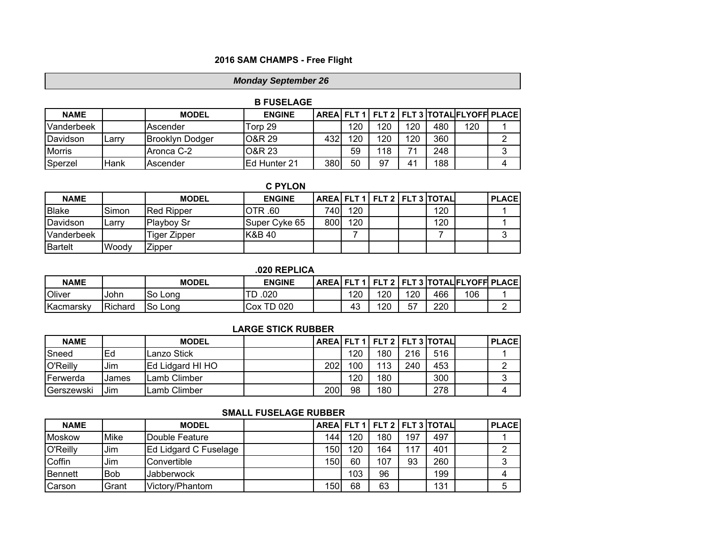# **2016 SAM CHAMPS - Free Flight**

# *Monday September 26*

|               |        |                        | <b>B FUSELAGE</b>   |     |     |     |     |     |                                                 |  |
|---------------|--------|------------------------|---------------------|-----|-----|-----|-----|-----|-------------------------------------------------|--|
| <b>NAME</b>   |        | <b>MODEL</b>           | <b>ENGINE</b>       |     |     |     |     |     | AREA FLT 1   FLT 2   FLT 3   TOTAL FLYOFF PLACE |  |
| Vanderbeek    |        | lAscender              | Torp 29             |     | 120 | 120 | 120 | 480 | 120                                             |  |
| Davidson      | .∟arr∨ | <b>Brooklyn Dodger</b> | O&R 29              | 432 | 120 | 120 | 120 | 360 |                                                 |  |
| <b>Morris</b> |        | Aronca C-2             | IO&R 23             |     | 59  | 118 | 71  | 248 |                                                 |  |
| Sperzel       | Hank   | Ascender               | <b>Ed Hunter 21</b> | 380 | 50  | 97  | 41  | 188 |                                                 |  |

|              |       |                    | <b>C PYLON</b>     |     |     |  |                              |       |
|--------------|-------|--------------------|--------------------|-----|-----|--|------------------------------|-------|
| <b>NAME</b>  |       | <b>MODEL</b>       | <b>ENGINE</b>      |     |     |  | AREA FLT 1 FLT 2 FLT 3 TOTAL | PLACE |
| <b>Blake</b> | Simon | <b>IRed Ripper</b> | IOTR .60           | 740 | 120 |  | 120                          |       |
| Davidson     | ∟arrv | <b>Playboy Sr</b>  | Super Cyke 65      | 800 | 120 |  | 120                          |       |
| Vanderbeek   |       | Figer Zipper       | <b>IK&amp;B 40</b> |     |     |  |                              | 3     |
| Bartelt      | Woody | Zipper             |                    |     |     |  |                              |       |

### **.020 REPLICA**

| <b>NAME</b> |         | <b>MODEL</b> | <b>ENGINE</b> | <b>AREAIFLT11</b> |     |              |     | <b>FLT 2   FLT 3   TOTAL  FLYOFFI PLACE</b> |  |
|-------------|---------|--------------|---------------|-------------------|-----|--------------|-----|---------------------------------------------|--|
| Oliver      | John    | So Long      | .020<br>◡     | 120               | 120 | 120          | 466 | 106                                         |  |
| Kacmarsky   | Richard | So Long      | TD 020<br>Cox | 43                | 120 | --<br>h<br>◡ | 220 |                                             |  |

# **LARGE STICK RUBBER**

| <b>NAME</b> |       | <b>MODEL</b>             |     |     |     |     | AREA   FLT 1   FLT 2   FLT 3   TOTAL | <b>PLACE</b> |
|-------------|-------|--------------------------|-----|-----|-----|-----|--------------------------------------|--------------|
| Sneed       | Ed    | Lanzo Stick              |     | 120 | 180 | 216 | 516                                  |              |
| O'Reilly    | Jim   | <b>Ed Lidgard HI HO</b>  | 202 | 100 | 113 | 240 | 453                                  |              |
| Ferwerda    | James | Lamb Climber             |     | 120 | 180 |     | 300                                  | ◠<br>J       |
| Gerszewski  | Jim   | <sub>-</sub> amb Climber | 200 | 98  | 180 |     | 278                                  | 4            |

# **SMALL FUSELAGE RUBBER**

| <b>NAME</b> |            | <b>MODEL</b>          |                  |     |     |     | AREA FLT 1   FLT 2   FLT 3   TOTAL | <b>PLACE</b> |
|-------------|------------|-----------------------|------------------|-----|-----|-----|------------------------------------|--------------|
| Moskow      | Mike       | Double Feature        | 144.             | 120 | 180 | 197 | 497                                |              |
| O'Reilly    | Jim        | Ed Lidgard C Fuselage | 150              | 120 | 164 | 117 | 401                                |              |
| Coffin      | Jim        | Convertible           | 150              | 60  | 107 | 93  | 260                                |              |
| Bennett     | <b>Bob</b> | Jabberwock            |                  | 103 | 96  |     | 199                                |              |
| Carson      | Grant      | Victory/Phantom       | 150 <sub>1</sub> | 68  | 63  |     | 131                                | 5            |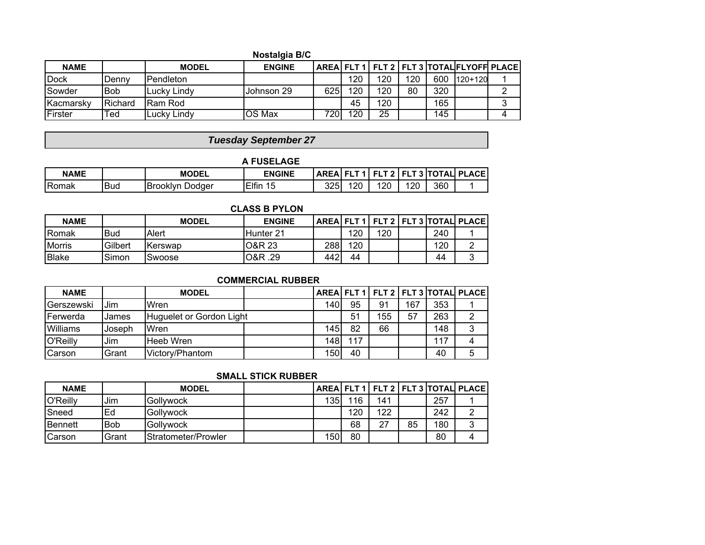### **Nostalgia B/C**

| <b>NAME</b>      |         | <b>MODEL</b>     | <b>ENGINE</b> |                  |     |     |     |     | AREAI FLT 1   FLT 2   FLT 3   TOTALIFLYOFF PLACE |   |
|------------------|---------|------------------|---------------|------------------|-----|-----|-----|-----|--------------------------------------------------|---|
| <b>IDock</b>     | Dennv   | <b>Pendleton</b> |               |                  | 120 | 120 | 120 | 600 | 120+120                                          |   |
| Sowder           | lBob    | Lucky Lindy      | Johnson 29    | 625              | 120 | 120 | 80  | 320 |                                                  |   |
| <b>Kacmarsky</b> | Richard | Ram Rod          |               |                  | 45  | 120 |     | 165 |                                                  | ⌒ |
| Firster          | Ted     | Lucky Lindy      | OS Max        | 720 <sub>1</sub> | 120 | 25  |     | 145 |                                                  |   |

# *Tuesday September 27*

### **NAME MODEL ENGINE AREA FLT 1 FLT 2 FLT 3 TOTAL PLACE** Romak Bud Brooklyn Dodger Elfin 15 | 325 120 | 120 | 360 | 1 **A FUSELAGE**

| <b>CLASS B PYLON</b> |            |              |               |     |     |     |  |     |                                            |
|----------------------|------------|--------------|---------------|-----|-----|-----|--|-----|--------------------------------------------|
| <b>NAME</b>          |            | <b>MODEL</b> | <b>ENGINE</b> |     |     |     |  |     | AREAI FLT 1   FLT 2   FLT 3   TOTALI PLACE |
| <b>Romak</b>         | <b>Bud</b> | Alert        | IHunter 21    |     | 120 | 120 |  | 240 |                                            |
| <b>Morris</b>        | Gilbert    | Kerswap      | IO&R 23       | 288 | 120 |     |  | 120 |                                            |
| <b>Blake</b>         | Simon      | Swoose       | O&R .29       | 442 | 44  |     |  | 44  |                                            |

# **COMMERCIAL RUBBER**

| <b>NAME</b> |        | <b>MODEL</b>             |     |     |     |     |     | AREA FLT 1   FLT 2   FLT 3   TOTAL PLACE |
|-------------|--------|--------------------------|-----|-----|-----|-----|-----|------------------------------------------|
| Gerszewski  | Jim    | Wren                     | 140 | 95  | 91  | 167 | 353 |                                          |
| Ferwerda    | James  | Huguelet or Gordon Light |     | 51  | 155 | 57  | 263 |                                          |
| Williams    | Joseph | Wren                     | 145 | 82  | 66  |     | 148 |                                          |
| O'Reilly    | Jim    | Heeb Wren                | 148 | 117 |     |     | 117 |                                          |
| Carson      | Grant  | Victory/Phantom          | 150 | 40  |     |     | 40  |                                          |

# **SMALL STICK RUBBER**

| <b>NAME</b>      |            | <b>MODEL</b>        |                  |     |     |    |     | AREAI FLT 1   FLT 2   FLT 3   TOTALI PLACE |
|------------------|------------|---------------------|------------------|-----|-----|----|-----|--------------------------------------------|
| O'Reilly         | Jim        | <b>Gollywock</b>    | 135              | 116 | 141 |    | 257 |                                            |
| <b>S</b> need    | Ed         | <b>IGollywock</b>   |                  | 120 | 122 |    | 242 |                                            |
| <b>I</b> Bennett | <b>Bob</b> | Gollywock           |                  | 68  | 27  | 85 | 180 |                                            |
| <b>Carson</b>    | Grant      | Stratometer/Prowler | 150 <sub>1</sub> | 80  |     |    | 80  |                                            |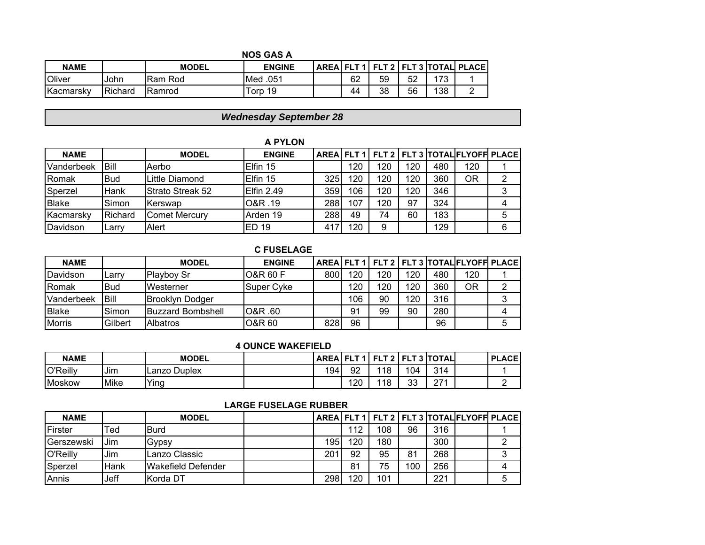|               | <b>NOS GAS A</b> |                |               |  |    |    |    |     |                                            |  |
|---------------|------------------|----------------|---------------|--|----|----|----|-----|--------------------------------------------|--|
| <b>NAME</b>   |                  | <b>MODEL</b>   | <b>ENGINE</b> |  |    |    |    |     | AREAI FLT 1   FLT 2   FLT 3   TOTALI PLACE |  |
| <b>Oliver</b> | John             | IRam Rod       | Med .051      |  | 62 | 59 | 52 | 172 |                                            |  |
| Kacmarsky     | Richard          | <b>IRamrod</b> | Torp 19       |  | 44 | 38 | 56 | 138 |                                            |  |

# *Wednesday September 28*

#### **A PYLON**

| <b>NAME</b>        |                   | <b>MODEL</b>         | <b>ENGINE</b> |     |     |     |     |     | AREA   FLT 1   FLT 2   FLT 3   TOTAL FLYOFF PLACE |   |
|--------------------|-------------------|----------------------|---------------|-----|-----|-----|-----|-----|---------------------------------------------------|---|
| Vanderbeek         | Bill              | Aerbo                | Elfin 15      |     | 120 | 120 | 120 | 480 | 120                                               |   |
| <b>IRomak</b>      | Bud               | Little Diamond       | Elfin 15      | 325 | 120 | 120 | 120 | 360 | ΟR                                                | າ |
| Sperzel            | Hank              | IStrato Streak 52    | Elfin 2.49    | 359 | 106 | 120 | 120 | 346 |                                                   |   |
| <b>Blake</b>       | Simon             | Kerswap              | O&R .19       | 288 | 107 | 120 | 97  | 324 |                                                   |   |
| <u>I</u> Kacmarskv | Richard           | <b>Comet Mercury</b> | Arden 19      | 288 | 49  | 74  | 60  | 183 |                                                   | 5 |
| Davidson           | $\mathsf{c}$ arry | Alert                | ED 19         | 417 | 120 | 9   |     | 129 |                                                   | 6 |

#### **C FUSELAGE**

| <b>NAME</b>   |             | <b>MODEL</b>             | <b>ENGINE</b>     |     |     |     |     |     | AREA   FLT 1   FLT 2   FLT 3   TOTAL FLYOFF PLACE |   |
|---------------|-------------|--------------------------|-------------------|-----|-----|-----|-----|-----|---------------------------------------------------|---|
| Davidson      | Larrv       | <b>Playboy Sr</b>        | O&R 60 F          | 800 | 120 | 120 | 120 | 480 | 120                                               |   |
| Romak         | <b>Bud</b>  | Westerner                | <b>Super Cyke</b> |     | 120 | 120 | 120 | 360 | <b>OR</b>                                         |   |
| Vanderbeek    | <b>Bill</b> | IBrooklvn Dodaer         |                   |     | 106 | 90  | 120 | 316 |                                                   |   |
| <b>Blake</b>  | Simon       | <b>Buzzard Bombshell</b> | 08R .60           |     | 91  | 99  | 90  | 280 |                                                   |   |
| <b>Morris</b> | Gilbert     | <b>Albatros</b>          | <b>O&amp;R 60</b> | 828 | 96  |     |     | 96  |                                                   | 5 |

#### **4 OUNCE WAKEFIELD**

| <b>NAME</b> |      | <b>MODEL</b>             | <b>AREA</b> | <b>CITA</b> | <b>CITO</b> |         | <b>FLT 3 ITOTAL</b> | <b>PLACE</b> |
|-------------|------|--------------------------|-------------|-------------|-------------|---------|---------------------|--------------|
| O'Reilly    | IJim | <b>Duplex</b><br>∟anzo ' | 194         | 92          | 118         | 104     | 314                 |              |
| Moskow      | Mike | Ying                     |             | 120         | 118         | າາ<br>u | 771                 | -            |

| <b>NAME</b> |                       | <b>MODEL</b>                |     |     |     |     |     | AREA FLT 1   FLT 2   FLT 3   TOTAL FLYOFF PLACE |  |
|-------------|-----------------------|-----------------------------|-----|-----|-----|-----|-----|-------------------------------------------------|--|
| Firster     | $\mathsf{{}^{T}ed}$ . | <b>IBurd</b>                |     | 112 | 108 | 96  | 316 |                                                 |  |
| Gerszewski  | Jim                   | Gypsy                       | 195 | 120 | 180 |     | 300 |                                                 |  |
| O'Reilly    | Jim                   | Lanzo Classic               | 201 | 92  | 95  | 81  | 268 |                                                 |  |
| Sperzel     | Hank                  | <b>I</b> Wakefield Defender |     | 81  | 75  | 100 | 256 |                                                 |  |
| Annis       | Jeff                  | Korda DT                    | 298 | 120 | 101 |     | 221 |                                                 |  |

### **LARGE FUSELAGE RUBBER**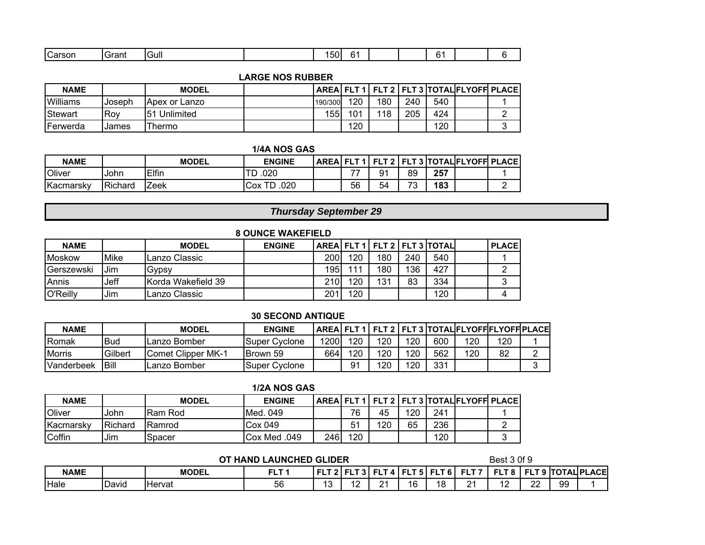| $\sim$<br>$\mathbf{r}$<br>$n$ roor<br>ااut.<br>∽ الصب<br>ווטכ<br>αικ | 50 |  |  |
|----------------------------------------------------------------------|----|--|--|
|----------------------------------------------------------------------|----|--|--|

### **LARGE NOS RUBBER**

| <b>NAME</b> |        | <b>MODEL</b>  |         |     |     |     |     | AREAI FLT 1   FLT 2   FLT 3   TOTALIFLYOFF PLACE |
|-------------|--------|---------------|---------|-----|-----|-----|-----|--------------------------------------------------|
| Williams    | Joseph | Apex or Lanzo | 190/300 | 120 | 180 | 240 | 540 |                                                  |
| Stewart     | Rov    | 51 Unlimited  | 155.    | 101 | 118 | 205 | 424 | ⌒                                                |
| Ferwerda    | James  | Thermo        |         | 120 |     |     | 120 | ⌒                                                |

### **1/4A NOS GAS**

| <b>NAME</b>   |         | <b>MODEL</b> | <b>ENGINE</b>      | <b>AREA</b> |    | TEL T 4   EL T 9   7 | cц |     | LT 3  TOTAL FLYOFF  PLACE |
|---------------|---------|--------------|--------------------|-------------|----|----------------------|----|-----|---------------------------|
| <b>Oliver</b> | John    | Elfin        | .020<br>TD         |             | –– | Q <sub>1</sub>       | 89 | 257 |                           |
| Kacmarsky     | Richard | ∠eek         | .020<br>TD.<br>Cox |             | 56 | 54                   | 70 | 183 |                           |

# *Thursday September 29*

| <b>8 OUNCE WAKEFIELD</b> |                                                                                     |                     |  |                  |     |     |     |     |  |   |  |  |
|--------------------------|-------------------------------------------------------------------------------------|---------------------|--|------------------|-----|-----|-----|-----|--|---|--|--|
| <b>NAME</b>              | AREA FLT 1   FLT 2   FLT 3   TOTAL<br><b>PLACE</b><br><b>MODEL</b><br><b>ENGINE</b> |                     |  |                  |     |     |     |     |  |   |  |  |
| <b>IMoskow</b>           | Mike                                                                                | Lanzo Classic       |  | 200 <sub>1</sub> | 120 | 180 | 240 | 540 |  |   |  |  |
| <b>Gerszewski</b>        | Jim                                                                                 | Gypsy               |  | 195              | 111 | 180 | 136 | 427 |  |   |  |  |
| Annis                    | Jeff                                                                                | IKorda Wakefield 39 |  | 210 <sub>1</sub> | 120 | 131 | 83  | 334 |  | 3 |  |  |
| O'Reilly                 | Jim                                                                                 | '∟anzo Classic      |  | 201              | 120 |     |     | 120 |  |   |  |  |

### **30 SECOND ANTIQUE**

| NAME          |         | <b>MODEL</b>              | <b>ENGINE</b>  |      |     |     |     |     | AREALFLT 1 LFLT 2 LFLT 3 LTOTALIFLYOFFIFLYOFFIPLACE |     |  |
|---------------|---------|---------------------------|----------------|------|-----|-----|-----|-----|-----------------------------------------------------|-----|--|
| Romak         | Bud     | Lanzo Bomber              | Super Cvclone  | 1200 | 120 | 120 | 120 | 600 | 120                                                 | 120 |  |
| <b>Morris</b> | Gilbert | <b>Comet Clipper MK-1</b> | Brown 59       | 664  | 120 | 120 | 120 | 562 | 20ا                                                 | 82  |  |
| Vanderbeek    | Bill    | Lanzo Bomber              | Super Cvclone_ |      | −9  | 120 | 120 | 331 |                                                     |     |  |

| 1/2A NOS GAS  |         |                |                    |     |                |     |     |     |                                                   |   |
|---------------|---------|----------------|--------------------|-----|----------------|-----|-----|-----|---------------------------------------------------|---|
| <b>NAME</b>   |         | <b>MODEL</b>   | <b>ENGINE</b>      |     |                |     |     |     | AREA   FLT 1   FLT 2   FLT 3  TOTAL FLYOFF  PLACE |   |
| <b>Oliver</b> | .John   | IRam Rod       | IMed. 049          |     | 76             | 45  | 120 | 241 |                                                   |   |
| Kacmarsky     | Richard | <b>IRamrod</b> | Cox <sub>049</sub> |     | 5 <sup>1</sup> | 120 | 65  | 236 |                                                   | ⌒ |
| Coffin        | Jim     | Spacer         | Cox Med .049       | 246 | 120            |     |     | 120 |                                                   | ◠ |

#### Best 3 0f 9 NAME | | MODEL | FLT1 |FLT2|FLT3|FLT4|FLT5|FLT6|FLT7 **L PLACE** Hale David Hervat 56 13 12 21 16 18 21 12 22 99 1  **OT HAND LAUNCHED GLIDER**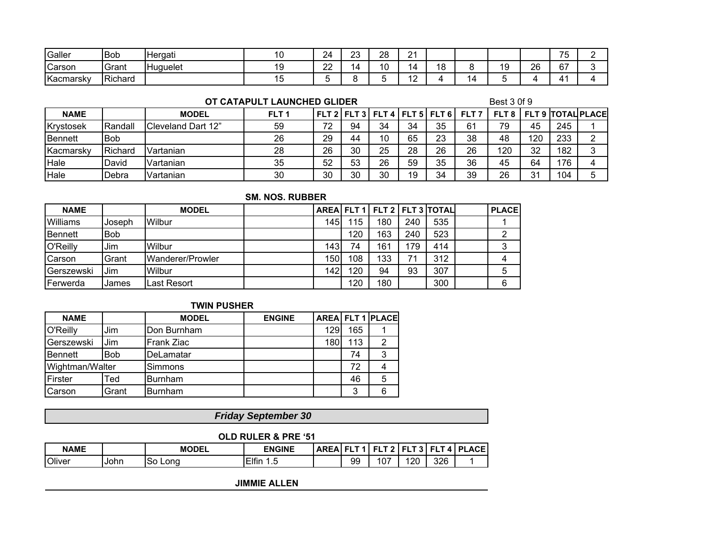| Galler    | Bob     | Hergati  | 24              | ົດ<br>∠∪ | 28      | $\sim$<br><u>_</u>                         |             |         |          | $- -$<br>J                  |  |
|-----------|---------|----------|-----------------|----------|---------|--------------------------------------------|-------------|---------|----------|-----------------------------|--|
| Carson    | Grant   | Huguelet | nn<br><u>__</u> | 14.      | $\cdot$ | $\overline{\phantom{a}}$<br>$\overline{a}$ | "<br>צ<br>ັ | 10<br>◡ | າຂ<br>۷Z | 67                          |  |
| Kacmarsky | Richard |          |                 |          |         | $\overline{ }$<br>.                        |             |         |          | $\mathbf{\Lambda}^{\prime}$ |  |

#### **OT CATAPULT LAUNCHED GLIDER**

#### Best 3 0f 9

| <b>NAME</b> |                 | <b>MODEL</b>               | FLT <sub>1</sub> |    |    |    |    | FLT 2   FLT 3   FLT 4   FLT 5   FLT 6 | FLT 7 |     |     | <b>FLT 8   FLT 9   TOTAL PLACE</b> |  |
|-------------|-----------------|----------------------------|------------------|----|----|----|----|---------------------------------------|-------|-----|-----|------------------------------------|--|
| Krystosek   | Randall         | <b>ICleveland Dart 12"</b> | 59               |    | 94 | 34 | 34 | 35                                    | 61    | 79  | 45  | 245                                |  |
| Bennett     | Bob             |                            | 26               | 29 | 44 | 10 | 65 | 23                                    | 38    | 48  | 120 | 233                                |  |
| Kacmarsky   | <b>IRichard</b> | lVartanian                 | 28               | 26 | 30 | 25 | 28 | 26                                    | 26    | 120 | 32  | 182                                |  |
| Hale        | David           | Vartanian                  | 35               | 52 | 53 | 26 | 59 | 35                                    | 36    | 45  | 64  | 176                                |  |
| Hale        | <b>IDebra</b>   | lVartanian                 | 30               | 30 | 30 | 30 | 19 | 34                                    | 39    | 26  | 21  | 104                                |  |

#### **SM. NOS. RUBBER**

| <b>NAME</b>      |         | <b>MODEL</b>     |                  |     |     |     | AREA FLT 1   FLT 2   FLT 3   TOTAL | <b>PLACE</b> |
|------------------|---------|------------------|------------------|-----|-----|-----|------------------------------------|--------------|
| <b>Williams</b>  | IJoseph | Wilbur           | 145              | 115 | 180 | 240 | 535                                |              |
| Bennett          | lBob    |                  |                  | 120 | 163 | 240 | 523                                |              |
| O'Reilly         | Jim     | Wilbur           | 143 <sub>1</sub> | 74  | 161 | 179 | 414                                | 3            |
| Carson           | Grant   | Wanderer/Prowler | 150              | 108 | 133 | 71  | 312                                |              |
| Gerszewski       | Jim     | Wilbur           | 142              | 120 | 94  | 93  | 307                                | 5            |
| <b>IFerwerda</b> | James   | ast Resort.      |                  | 120 | 180 |     | 300                                | 6            |

### **TWIN PUSHER**

| <b>NAME</b>     |            | <b>MODEL</b>   | <b>ENGINE</b> |     |     | AREA FLT 1 PLACE |
|-----------------|------------|----------------|---------------|-----|-----|------------------|
| O'Reilly        | Jim        | Don Burnham    |               | 129 | 165 |                  |
| Gerszewski      | Jim        | Frank Ziac     |               | 180 | 113 |                  |
| Bennett         | <b>Bob</b> | DeLamatar      |               |     | 74  | 3                |
| Wightman/Walter |            | Simmons        |               |     | 72  |                  |
| Firster         | Ted        | Burnham        |               |     | 46  | 5                |
| Carson          | Grant      | <b>Burnham</b> |               |     | 3   | 6                |

# *Friday September 30*

#### **OLD RULER & PRE '51**

| <b>NAME</b>   |       | <b>MODEL</b> | <b>ENGINE</b>  | <b>AREA</b> |    | --<br>_ |          |     | <b>ACE</b><br>Ð |
|---------------|-------|--------------|----------------|-------------|----|---------|----------|-----|-----------------|
| <b>Oliver</b> | IJohn | So<br>Lond   | Elfin<br>-<br> |             | 99 | 107     | חכו<br>▵ | 326 |                 |

**JIMMIE ALLEN**